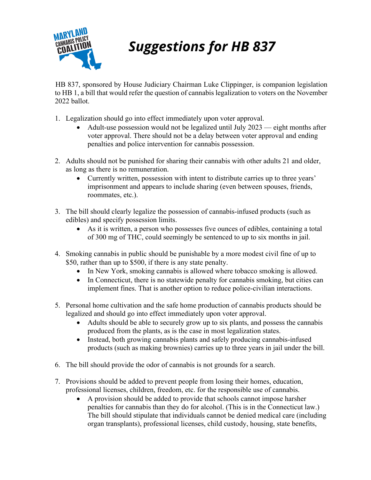

## **Suggestions for HB 837**

 HB 837, sponsored by House Judiciary Chairman Luke Clippinger, is companion legislation to HB 1, a bill that would refer the question of cannabis legalization to voters on the November 2022 ballot.

- 1. Legalization should go into effect immediately upon voter approval.
	- Adult-use possession would not be legalized until July 2023 eight months after voter approval. There should not be a delay between voter approval and ending penalties and police intervention for cannabis possession.
- 2. Adults should not be punished for sharing their cannabis with other adults 21 and older, as long as there is no remuneration.
	- Currently written, possession with intent to distribute carries up to three years' imprisonment and appears to include sharing (even between spouses, friends, roommates, etc.).
- 3. The bill should clearly legalize the possession of cannabis-infused products (such as edibles) and specify possession limits.
	- As it is written, a person who possesses five ounces of edibles, containing a total of 300 mg of THC, could seemingly be sentenced to up to six months in jail.
- 4. Smoking cannabis in public should be punishable by a more modest civil fine of up to \$50, rather than up to \$500, if there is any state penalty.
	- In New York, smoking cannabis is allowed where tobacco smoking is allowed.
	- In Connecticut, there is no statewide penalty for cannabis smoking, but cities can implement fines. That is another option to reduce police-civilian interactions.
- 5. Personal home cultivation and the safe home production of cannabis products should be legalized and should go into effect immediately upon voter approval.
	- Adults should be able to securely grow up to six plants, and possess the cannabis produced from the plants, as is the case in most legalization states.
	- Instead, both growing cannabis plants and safely producing cannabis-infused products (such as making brownies) carries up to three years in jail under the bill.
- 6. The bill should provide the odor of cannabis is not grounds for a search.
- 7. Provisions should be added to prevent people from losing their homes, education, professional licenses, children, freedom, etc. for the responsible use of cannabis.
	- A provision should be added to provide that schools cannot impose harsher penalties for cannabis than they do for alcohol. (This is in the Connecticut law.) The bill should stipulate that individuals cannot be denied medical care (including organ transplants), professional licenses, child custody, housing, state benefits,